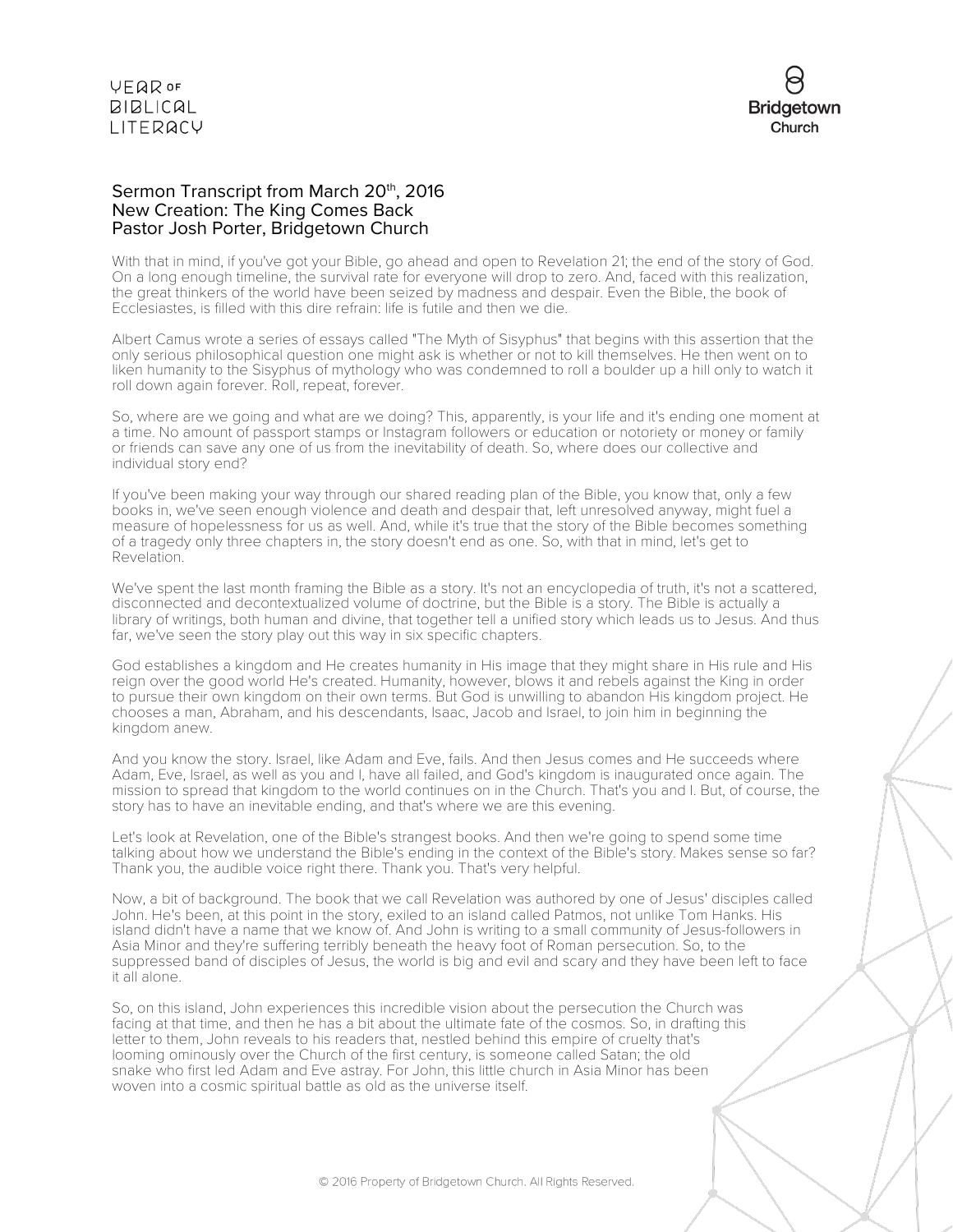

#### Sermon Transcript from March 20<sup>th</sup>, 2016 New Creation: The King Comes Back Pastor Josh Porter, Bridgetown Church

With that in mind, if you've got your Bible, go ahead and open to Revelation 21; the end of the story of God. On a long enough timeline, the survival rate for everyone will drop to zero. And, faced with this realization, the great thinkers of the world have been seized by madness and despair. Even the Bible, the book of Ecclesiastes, is filled with this dire refrain: life is futile and then we die.

Albert Camus wrote a series of essays called "The Myth of Sisyphus" that begins with this assertion that the only serious philosophical question one might ask is whether or not to kill themselves. He then went on to liken humanity to the Sisyphus of mythology who was condemned to roll a boulder up a hill only to watch it roll down again forever. Roll, repeat, forever.

So, where are we going and what are we doing? This, apparently, is your life and it's ending one moment at a time. No amount of passport stamps or Instagram followers or education or notoriety or money or family or friends can save any one of us from the inevitability of death. So, where does our collective and individual story end?

If you've been making your way through our shared reading plan of the Bible, you know that, only a few books in, we've seen enough violence and death and despair that, left unresolved anyway, might fuel a measure of hopelessness for us as well. And, while it's true that the story of the Bible becomes something of a tragedy only three chapters in, the story doesn't end as one. So, with that in mind, let's get to Revelation.

We've spent the last month framing the Bible as a story. It's not an encyclopedia of truth, it's not a scattered, disconnected and decontextualized volume of doctrine, but the Bible is a story. The Bible is actually a library of writings, both human and divine, that together tell a unified story which leads us to Jesus. And thus far, we've seen the story play out this way in six specific chapters.

God establishes a kingdom and He creates humanity in His image that they might share in His rule and His reign over the good world He's created. Humanity, however, blows it and rebels against the King in order to pursue their own kingdom on their own terms. But God is unwilling to abandon His kingdom project. He chooses a man, Abraham, and his descendants, Isaac, Jacob and Israel, to join him in beginning the kingdom anew.

And you know the story. Israel, like Adam and Eve, fails. And then Jesus comes and He succeeds where Adam, Eve, Israel, as well as you and I, have all failed, and God's kingdom is inaugurated once again. The mission to spread that kingdom to the world continues on in the Church. That's you and I. But, of course, the story has to have an inevitable ending, and that's where we are this evening.

Let's look at Revelation, one of the Bible's strangest books. And then we're going to spend some time talking about how we understand the Bible's ending in the context of the Bible's story. Makes sense so far? Thank you, the audible voice right there. Thank you. That's very helpful.

Now, a bit of background. The book that we call Revelation was authored by one of Jesus' disciples called John. He's been, at this point in the story, exiled to an island called Patmos, not unlike Tom Hanks. His island didn't have a name that we know of. And John is writing to a small community of Jesus-followers in Asia Minor and they're suffering terribly beneath the heavy foot of Roman persecution. So, to the suppressed band of disciples of Jesus, the world is big and evil and scary and they have been left to face it all alone.

So, on this island, John experiences this incredible vision about the persecution the Church was facing at that time, and then he has a bit about the ultimate fate of the cosmos. So, in drafting this letter to them, John reveals to his readers that, nestled behind this empire of cruelty that's looming ominously over the Church of the first century, is someone called Satan; the old snake who first led Adam and Eve astray. For John, this little church in Asia Minor has been woven into a cosmic spiritual battle as old as the universe itself.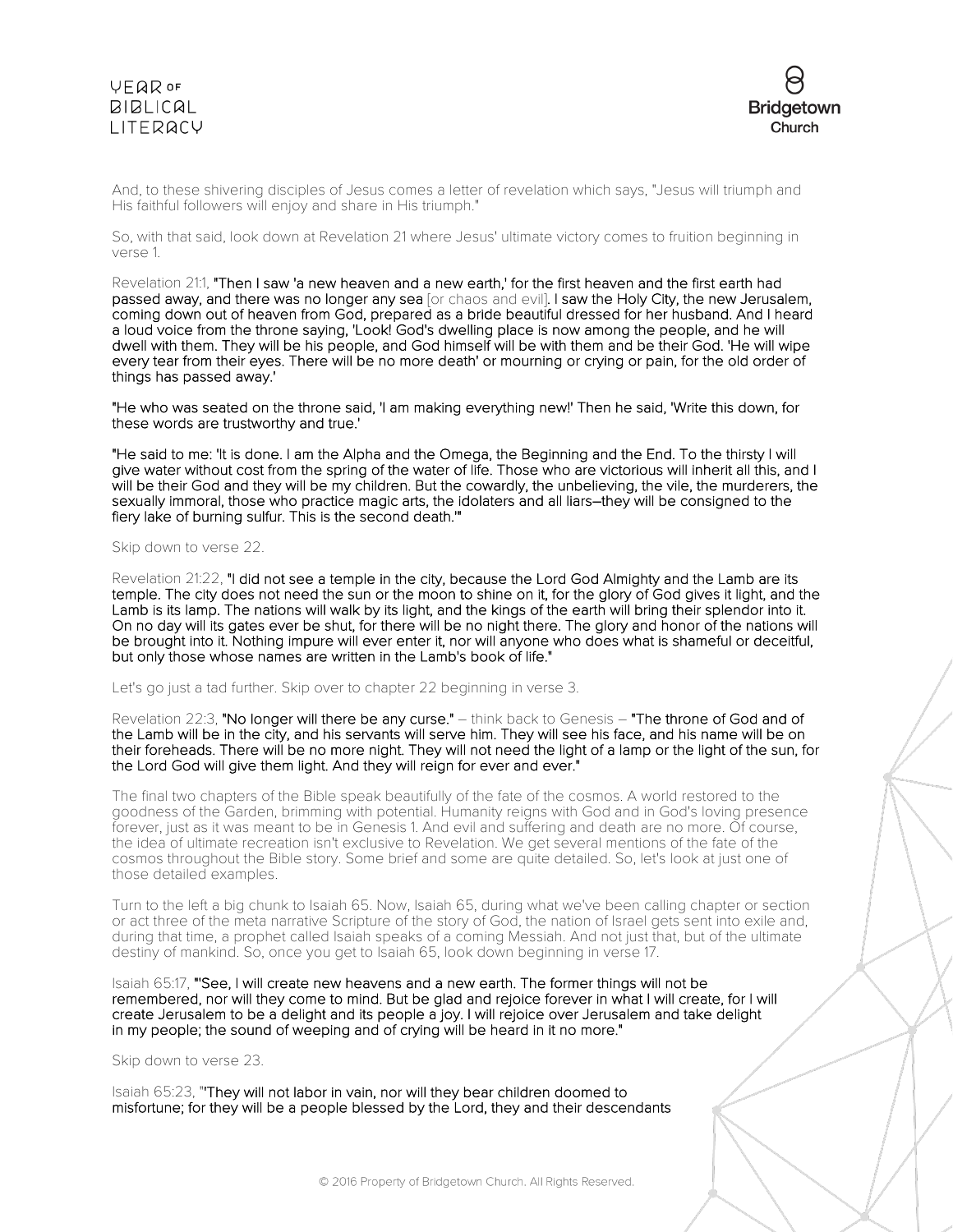### **VEQR OF**  $BIBLICAL$ LITERACY



And, to these shivering disciples of Jesus comes a letter of revelation which says, "Jesus will triumph and His faithful followers will enjoy and share in His triumph."

So, with that said, look down at Revelation 21 where Jesus' ultimate victory comes to fruition beginning in verse 1.

Revelation 21:1, "Then I saw 'a new heaven and a new earth,' for the first heaven and the first earth had passed away, and there was no longer any sea [or chaos and evil]. I saw the Holy City, the new Jerusalem, coming down out of heaven from God, prepared as a bride beautiful dressed for her husband. And I heard a loud voice from the throne saying, 'Look! God's dwelling place is now among the people, and he will dwell with them. They will be his people, and God himself will be with them and be their God. 'He will wipe every tear from their eyes. There will be no more death' or mourning or crying or pain, for the old order of things has passed away.'

"He who was seated on the throne said, 'I am making everything new!' Then he said, 'Write this down, for these words are trustworthy and true.'

"He said to me: 'It is done. I am the Alpha and the Omega, the Beginning and the End. To the thirsty I will give water without cost from the spring of the water of life. Those who are victorious will inherit all this, and I will be their God and they will be my children. But the cowardly, the unbelieving, the vile, the murderers, the sexually immoral, those who practice magic arts, the idolaters and all liars–they will be consigned to the fiery lake of burning sulfur. This is the second death.'"

#### Skip down to verse 22.

Revelation 21:22, "I did not see a temple in the city, because the Lord God Almighty and the Lamb are its temple. The city does not need the sun or the moon to shine on it, for the glory of God gives it light, and the Lamb is its lamp. The nations will walk by its light, and the kings of the earth will bring their splendor into it. On no day will its gates ever be shut, for there will be no night there. The glory and honor of the nations will be brought into it. Nothing impure will ever enter it, nor will anyone who does what is shameful or deceitful, but only those whose names are written in the Lamb's book of life."

Let's go just a tad further. Skip over to chapter 22 beginning in verse 3.

Revelation 22:3, "No longer will there be any curse." – think back to Genesis – "The throne of God and of the Lamb will be in the city, and his servants will serve him. They will see his face, and his name will be on their foreheads. There will be no more night. They will not need the light of a lamp or the light of the sun, for the Lord God will give them light. And they will reign for ever and ever."

The final two chapters of the Bible speak beautifully of the fate of the cosmos. A world restored to the goodness of the Garden, brimming with potential. Humanity reigns with God and in God's loving presence forever, just as it was meant to be in Genesis 1. And evil and suffering and death are no more. Of course, the idea of ultimate recreation isn't exclusive to Revelation. We get several mentions of the fate of the cosmos throughout the Bible story. Some brief and some are quite detailed. So, let's look at just one of those detailed examples.

Turn to the left a big chunk to Isaiah 65. Now, Isaiah 65, during what we've been calling chapter or section or act three of the meta narrative Scripture of the story of God, the nation of Israel gets sent into exile and, during that time, a prophet called Isaiah speaks of a coming Messiah. And not just that, but of the ultimate destiny of mankind. So, once you get to Isaiah 65, look down beginning in verse 17.

Isaiah 65:17, "'See, I will create new heavens and a new earth. The former things will not be remembered, nor will they come to mind. But be glad and rejoice forever in what I will create, for I will create Jerusalem to be a delight and its people a joy. I will rejoice over Jerusalem and take delight in my people; the sound of weeping and of crying will be heard in it no more."

Skip down to verse 23.

Isaiah 65:23, "'They will not labor in vain, nor will they bear children doomed to misfortune; for they will be a people blessed by the Lord, they and their descendants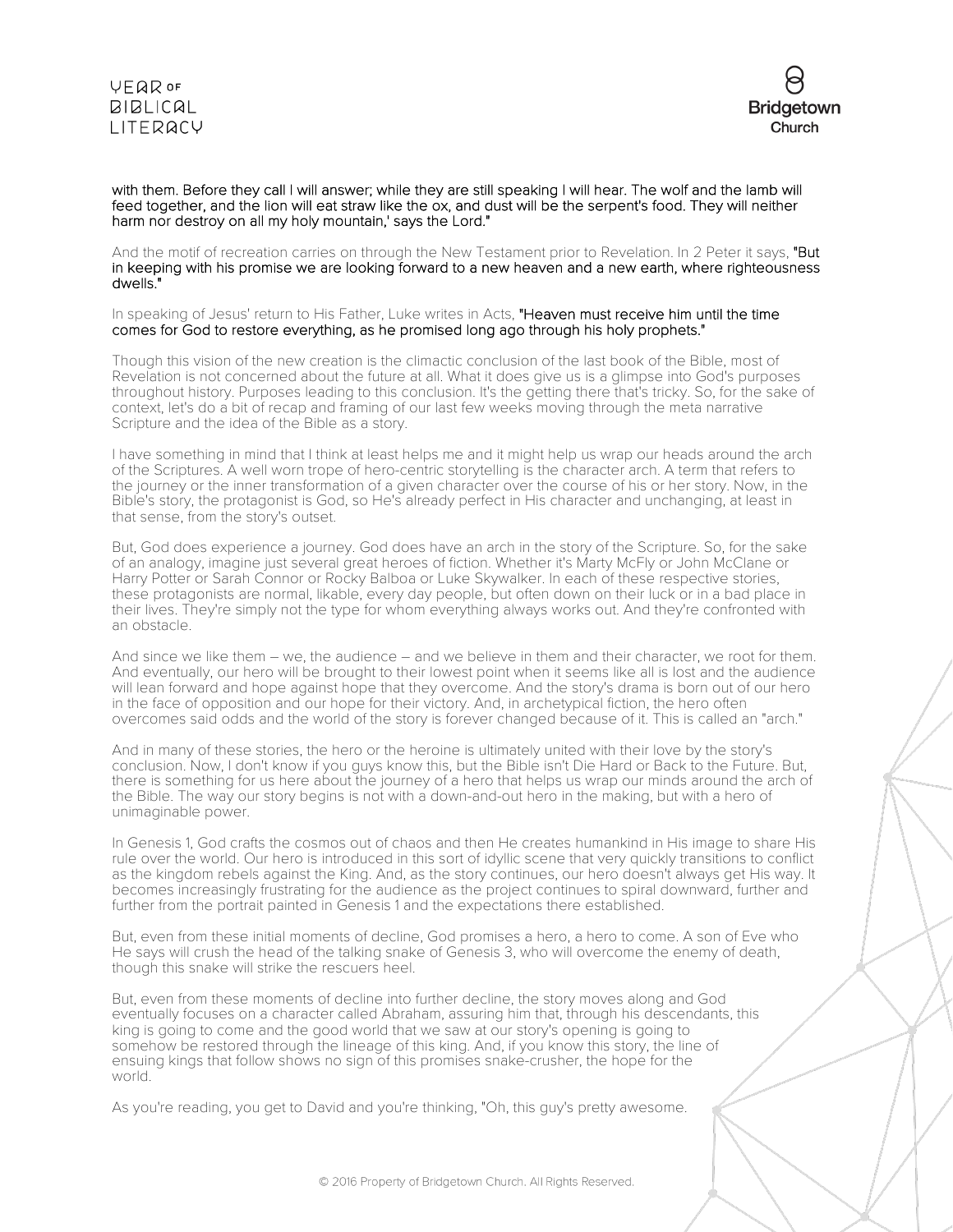



#### with them. Before they call I will answer; while they are still speaking I will hear. The wolf and the lamb will feed together, and the lion will eat straw like the ox, and dust will be the serpent's food. They will neither harm nor destroy on all my holy mountain,' says the Lord."

And the motif of recreation carries on through the New Testament prior to Revelation. In 2 Peter it says, "But in keeping with his promise we are looking forward to a new heaven and a new earth, where righteousness dwells."

In speaking of Jesus' return to His Father, Luke writes in Acts, "Heaven must receive him until the time comes for God to restore everything, as he promised long ago through his holy prophets."

Though this vision of the new creation is the climactic conclusion of the last book of the Bible, most of Revelation is not concerned about the future at all. What it does give us is a glimpse into God's purposes throughout history. Purposes leading to this conclusion. It's the getting there that's tricky. So, for the sake of context, let's do a bit of recap and framing of our last few weeks moving through the meta narrative Scripture and the idea of the Bible as a story.

I have something in mind that I think at least helps me and it might help us wrap our heads around the arch of the Scriptures. A well worn trope of hero-centric storytelling is the character arch. A term that refers to the journey or the inner transformation of a given character over the course of his or her story. Now, in the Bible's story, the protagonist is God, so He's already perfect in His character and unchanging, at least in that sense, from the story's outset.

But, God does experience a journey. God does have an arch in the story of the Scripture. So, for the sake of an analogy, imagine just several great heroes of fiction. Whether it's Marty McFly or John McClane or Harry Potter or Sarah Connor or Rocky Balboa or Luke Skywalker. In each of these respective stories, these protagonists are normal, likable, every day people, but often down on their luck or in a bad place in their lives. They're simply not the type for whom everything always works out. And they're confronted with an obstacle.

And since we like them – we, the audience – and we believe in them and their character, we root for them. And eventually, our hero will be brought to their lowest point when it seems like all is lost and the audience will lean forward and hope against hope that they overcome. And the story's drama is born out of our hero in the face of opposition and our hope for their victory. And, in archetypical fiction, the hero often overcomes said odds and the world of the story is forever changed because of it. This is called an "arch."

And in many of these stories, the hero or the heroine is ultimately united with their love by the story's conclusion. Now, I don't know if you guys know this, but the Bible isn't Die Hard or Back to the Future. But, there is something for us here about the journey of a hero that helps us wrap our minds around the arch of the Bible. The way our story begins is not with a down-and-out hero in the making, but with a hero of unimaginable power.

In Genesis 1, God crafts the cosmos out of chaos and then He creates humankind in His image to share His rule over the world. Our hero is introduced in this sort of idyllic scene that very quickly transitions to conflict as the kingdom rebels against the King. And, as the story continues, our hero doesn't always get His way. It becomes increasingly frustrating for the audience as the project continues to spiral downward, further and further from the portrait painted in Genesis 1 and the expectations there established.

But, even from these initial moments of decline, God promises a hero, a hero to come. A son of Eve who He says will crush the head of the talking snake of Genesis 3, who will overcome the enemy of death, though this snake will strike the rescuers heel.

But, even from these moments of decline into further decline, the story moves along and God eventually focuses on a character called Abraham, assuring him that, through his descendants, this king is going to come and the good world that we saw at our story's opening is going to somehow be restored through the lineage of this king. And, if you know this story, the line of ensuing kings that follow shows no sign of this promises snake-crusher, the hope for the world.

As you're reading, you get to David and you're thinking, "Oh, this guy's pretty awesome.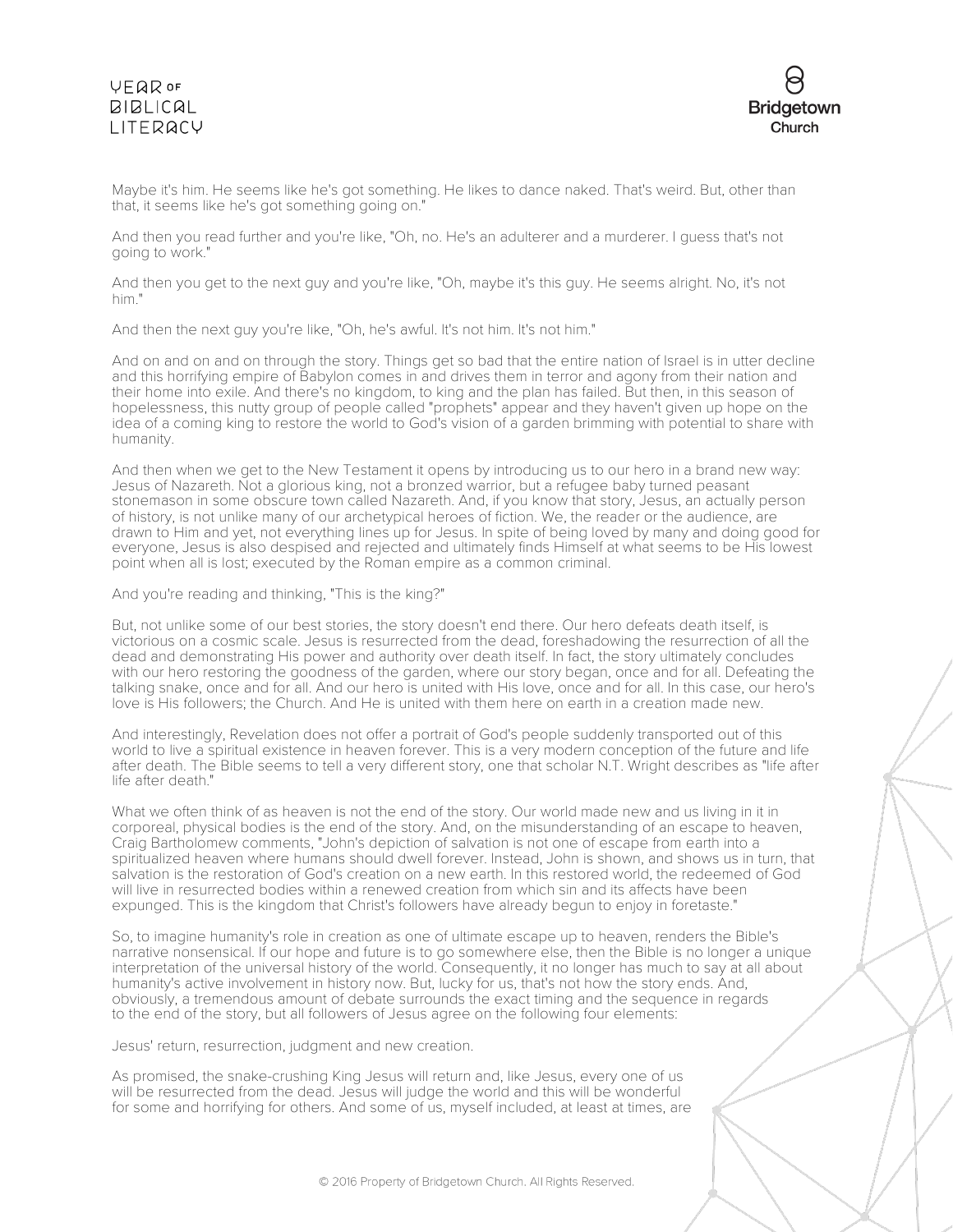## **VEQR OF BIBLICAL** LITERACY



Maybe it's him. He seems like he's got something. He likes to dance naked. That's weird. But, other than that, it seems like he's got something going on."

And then you read further and you're like, "Oh, no. He's an adulterer and a murderer. I guess that's not going to work."

And then you get to the next guy and you're like, "Oh, maybe it's this guy. He seems alright. No, it's not him."

And then the next guy you're like, "Oh, he's awful. It's not him. It's not him."

And on and on and on through the story. Things get so bad that the entire nation of Israel is in utter decline and this horrifying empire of Babylon comes in and drives them in terror and agony from their nation and their home into exile. And there's no kingdom, to king and the plan has failed. But then, in this season of hopelessness, this nutty group of people called "prophets" appear and they haven't given up hope on the idea of a coming king to restore the world to God's vision of a garden brimming with potential to share with humanity.

And then when we get to the New Testament it opens by introducing us to our hero in a brand new way: Jesus of Nazareth. Not a glorious king, not a bronzed warrior, but a refugee baby turned peasant stonemason in some obscure town called Nazareth. And, if you know that story, Jesus, an actually person of history, is not unlike many of our archetypical heroes of fiction. We, the reader or the audience, are drawn to Him and yet, not everything lines up for Jesus. In spite of being loved by many and doing good for everyone, Jesus is also despised and rejected and ultimately finds Himself at what seems to be His lowest point when all is lost; executed by the Roman empire as a common criminal.

And you're reading and thinking, "This is the king?"

But, not unlike some of our best stories, the story doesn't end there. Our hero defeats death itself, is victorious on a cosmic scale. Jesus is resurrected from the dead, foreshadowing the resurrection of all the dead and demonstrating His power and authority over death itself. In fact, the story ultimately concludes with our hero restoring the goodness of the garden, where our story began, once and for all. Defeating the talking snake, once and for all. And our hero is united with His love, once and for all. In this case, our hero's love is His followers; the Church. And He is united with them here on earth in a creation made new.

And interestingly, Revelation does not offer a portrait of God's people suddenly transported out of this world to live a spiritual existence in heaven forever. This is a very modern conception of the future and life after death. The Bible seems to tell a very different story, one that scholar N.T. Wright describes as "life after life after death."

What we often think of as heaven is not the end of the story. Our world made new and us living in it in corporeal, physical bodies is the end of the story. And, on the misunderstanding of an escape to heaven, Craig Bartholomew comments, "John's depiction of salvation is not one of escape from earth into a spiritualized heaven where humans should dwell forever. Instead, John is shown, and shows us in turn, that salvation is the restoration of God's creation on a new earth. In this restored world, the redeemed of God will live in resurrected bodies within a renewed creation from which sin and its affects have been expunged. This is the kingdom that Christ's followers have already begun to enjoy in foretaste."

So, to imagine humanity's role in creation as one of ultimate escape up to heaven, renders the Bible's narrative nonsensical. If our hope and future is to go somewhere else, then the Bible is no longer a unique interpretation of the universal history of the world. Consequently, it no longer has much to say at all about humanity's active involvement in history now. But, lucky for us, that's not how the story ends. And, obviously, a tremendous amount of debate surrounds the exact timing and the sequence in regards to the end of the story, but all followers of Jesus agree on the following four elements:

Jesus' return, resurrection, judgment and new creation.

As promised, the snake-crushing King Jesus will return and, like Jesus, every one of us will be resurrected from the dead. Jesus will judge the world and this will be wonderful for some and horrifying for others. And some of us, myself included, at least at times, are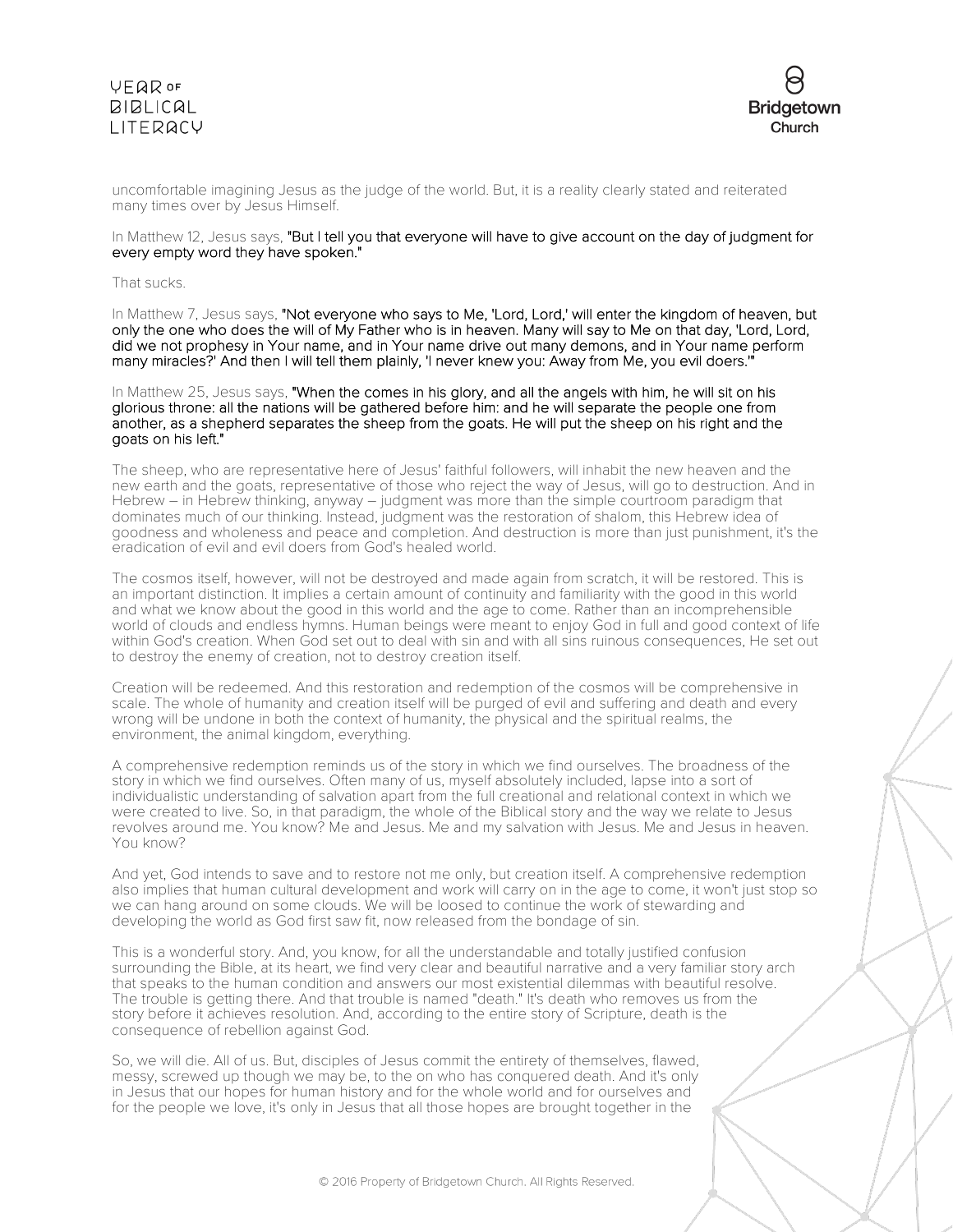



uncomfortable imagining Jesus as the judge of the world. But, it is a reality clearly stated and reiterated many times over by Jesus Himself.

#### In Matthew 12, Jesus says, "But I tell you that everyone will have to give account on the day of judgment for every empty word they have spoken."

That sucks.

In Matthew 7, Jesus says, "Not everyone who says to Me, 'Lord, Lord,' will enter the kingdom of heaven, but only the one who does the will of My Father who is in heaven. Many will say to Me on that day, 'Lord, Lord, did we not prophesy in Your name, and in Your name drive out many demons, and in Your name perform many miracles?' And then I will tell them plainly, 'I never knew you: Away from Me, you evil doers.'"

In Matthew 25, Jesus says, "When the comes in his glory, and all the angels with him, he will sit on his glorious throne: all the nations will be gathered before him: and he will separate the people one from another, as a shepherd separates the sheep from the goats. He will put the sheep on his right and the goats on his left."

The sheep, who are representative here of Jesus' faithful followers, will inhabit the new heaven and the new earth and the goats, representative of those who reject the way of Jesus, will go to destruction. And in Hebrew – in Hebrew thinking, anyway – judgment was more than the simple courtroom paradigm that dominates much of our thinking. Instead, judgment was the restoration of shalom, this Hebrew idea of goodness and wholeness and peace and completion. And destruction is more than just punishment, it's the eradication of evil and evil doers from God's healed world.

The cosmos itself, however, will not be destroyed and made again from scratch, it will be restored. This is an important distinction. It implies a certain amount of continuity and familiarity with the good in this world and what we know about the good in this world and the age to come. Rather than an incomprehensible world of clouds and endless hymns. Human beings were meant to enjoy God in full and good context of life within God's creation. When God set out to deal with sin and with all sins ruinous consequences, He set out to destroy the enemy of creation, not to destroy creation itself.

Creation will be redeemed. And this restoration and redemption of the cosmos will be comprehensive in scale. The whole of humanity and creation itself will be purged of evil and suffering and death and every wrong will be undone in both the context of humanity, the physical and the spiritual realms, the environment, the animal kingdom, everything.

A comprehensive redemption reminds us of the story in which we find ourselves. The broadness of the story in which we find ourselves. Often many of us, myself absolutely included, lapse into a sort of individualistic understanding of salvation apart from the full creational and relational context in which we were created to live. So, in that paradigm, the whole of the Biblical story and the way we relate to Jesus revolves around me. You know? Me and Jesus. Me and my salvation with Jesus. Me and Jesus in heaven. You know?

And yet, God intends to save and to restore not me only, but creation itself. A comprehensive redemption also implies that human cultural development and work will carry on in the age to come, it won't just stop so we can hang around on some clouds. We will be loosed to continue the work of stewarding and developing the world as God first saw fit, now released from the bondage of sin.

This is a wonderful story. And, you know, for all the understandable and totally justified confusion surrounding the Bible, at its heart, we find very clear and beautiful narrative and a very familiar story arch that speaks to the human condition and answers our most existential dilemmas with beautiful resolve. The trouble is getting there. And that trouble is named "death." It's death who removes us from the story before it achieves resolution. And, according to the entire story of Scripture, death is the consequence of rebellion against God.

So, we will die. All of us. But, disciples of Jesus commit the entirety of themselves, flawed, messy, screwed up though we may be, to the on who has conquered death. And it's only in Jesus that our hopes for human history and for the whole world and for ourselves and for the people we love, it's only in Jesus that all those hopes are brought together in the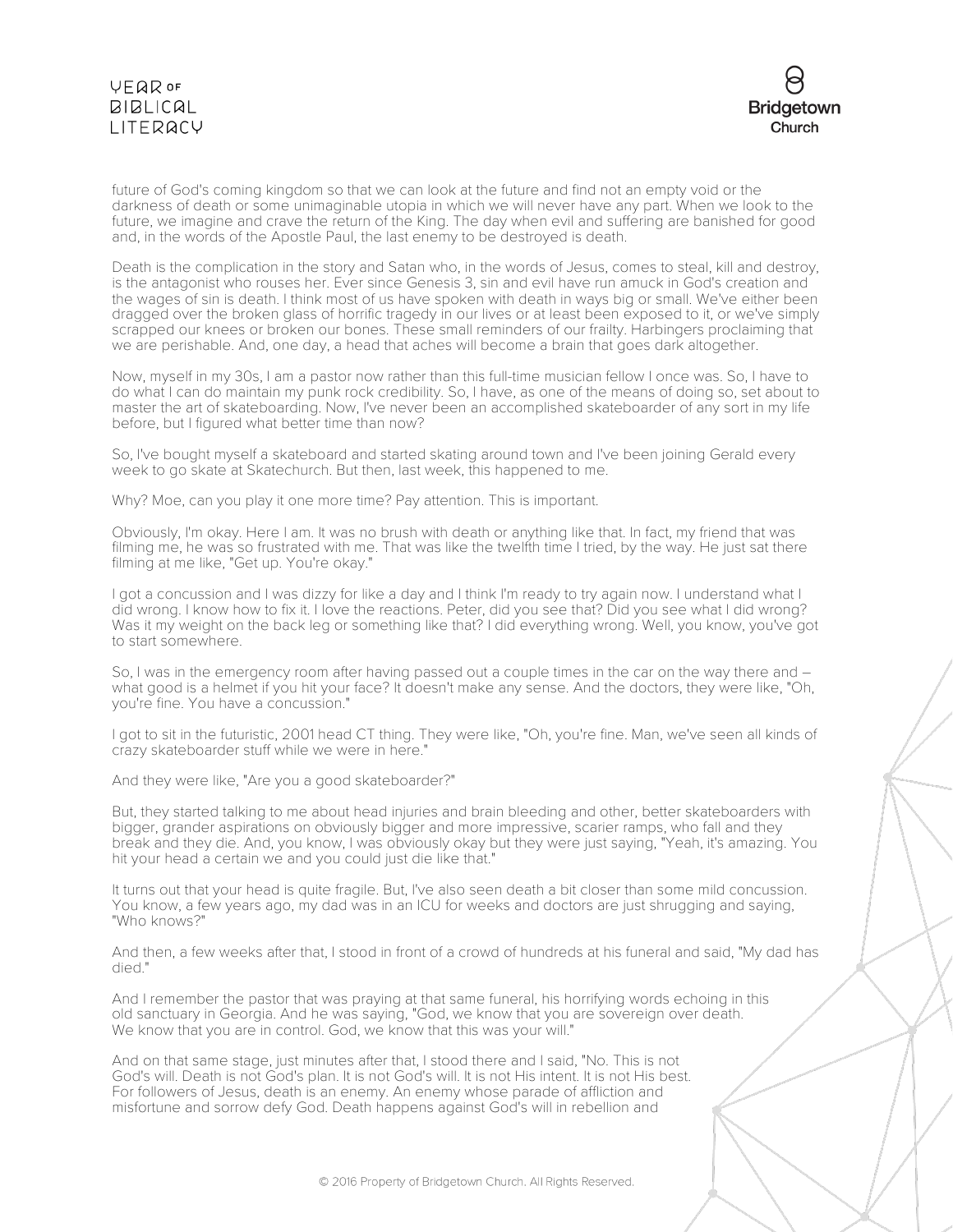## **VFQR OF BIBLICAL** LITERACY



future of God's coming kingdom so that we can look at the future and find not an empty void or the darkness of death or some unimaginable utopia in which we will never have any part. When we look to the future, we imagine and crave the return of the King. The day when evil and suffering are banished for good and, in the words of the Apostle Paul, the last enemy to be destroyed is death.

Death is the complication in the story and Satan who, in the words of Jesus, comes to steal, kill and destroy, is the antagonist who rouses her. Ever since Genesis 3, sin and evil have run amuck in God's creation and the wages of sin is death. I think most of us have spoken with death in ways big or small. We've either been dragged over the broken glass of horrific tragedy in our lives or at least been exposed to it, or we've simply scrapped our knees or broken our bones. These small reminders of our frailty. Harbingers proclaiming that we are perishable. And, one day, a head that aches will become a brain that goes dark altogether.

Now, myself in my 30s, I am a pastor now rather than this full-time musician fellow I once was. So, I have to do what I can do maintain my punk rock credibility. So, I have, as one of the means of doing so, set about to master the art of skateboarding. Now, I've never been an accomplished skateboarder of any sort in my life before, but I figured what better time than now?

So, I've bought myself a skateboard and started skating around town and I've been joining Gerald every week to go skate at Skatechurch. But then, last week, this happened to me.

Why? Moe, can you play it one more time? Pay attention. This is important.

Obviously, I'm okay. Here I am. It was no brush with death or anything like that. In fact, my friend that was filming me, he was so frustrated with me. That was like the twelfth time I tried, by the way. He just sat there filming at me like, "Get up. You're okay."

I got a concussion and I was dizzy for like a day and I think I'm ready to try again now. I understand what I did wrong. I know how to fix it. I love the reactions. Peter, did you see that? Did you see what I did wrong? Was it my weight on the back leg or something like that? I did everything wrong. Well, you know, you've got to start somewhere.

So, I was in the emergency room after having passed out a couple times in the car on the way there and – what good is a helmet if you hit your face? It doesn't make any sense. And the doctors, they were like, "Oh, you're fine. You have a concussion."

I got to sit in the futuristic, 2001 head CT thing. They were like, "Oh, you're fine. Man, we've seen all kinds of crazy skateboarder stuff while we were in here."

And they were like, "Are you a good skateboarder?"

But, they started talking to me about head injuries and brain bleeding and other, better skateboarders with bigger, grander aspirations on obviously bigger and more impressive, scarier ramps, who fall and they break and they die. And, you know, I was obviously okay but they were just saying, "Yeah, it's amazing. You hit your head a certain we and you could just die like that."

It turns out that your head is quite fragile. But, I've also seen death a bit closer than some mild concussion. You know, a few years ago, my dad was in an ICU for weeks and doctors are just shrugging and saying, "Who knows?"

And then, a few weeks after that, I stood in front of a crowd of hundreds at his funeral and said, "My dad has died."

And I remember the pastor that was praying at that same funeral, his horrifying words echoing in this old sanctuary in Georgia. And he was saying, "God, we know that you are sovereign over death. We know that you are in control. God, we know that this was your will."

And on that same stage, just minutes after that, I stood there and I said, "No. This is not God's will. Death is not God's plan. It is not God's will. It is not His intent. It is not His best. For followers of Jesus, death is an enemy. An enemy whose parade of affliction and misfortune and sorrow defy God. Death happens against God's will in rebellion and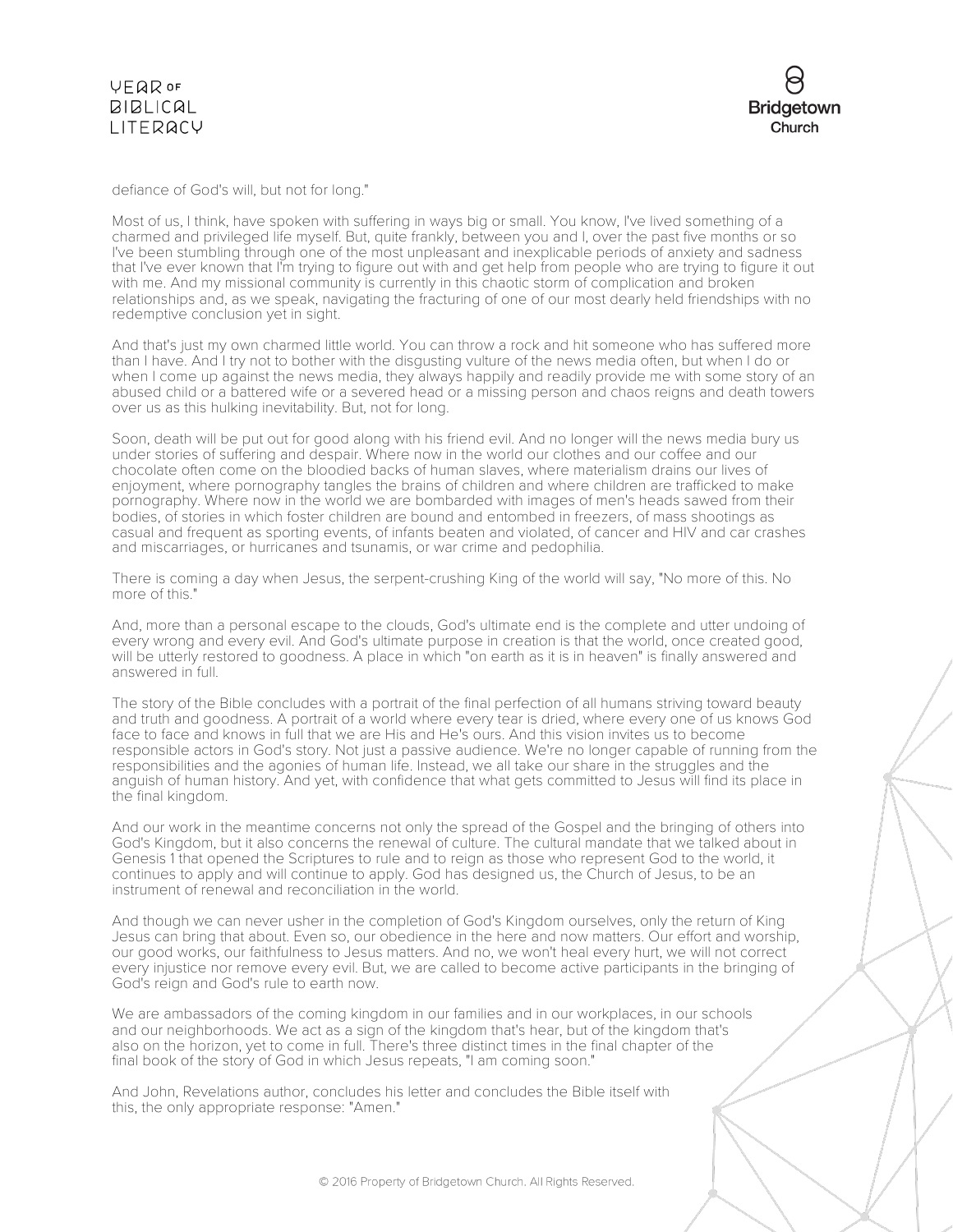

defiance of God's will, but not for long."

Most of us, I think, have spoken with suffering in ways big or small. You know, I've lived something of a charmed and privileged life myself. But, quite frankly, between you and I, over the past five months or so I've been stumbling through one of the most unpleasant and inexplicable periods of anxiety and sadness that I've ever known that I'm trying to figure out with and get help from people who are trying to figure it out with me. And my missional community is currently in this chaotic storm of complication and broken relationships and, as we speak, navigating the fracturing of one of our most dearly held friendships with no redemptive conclusion yet in sight.

And that's just my own charmed little world. You can throw a rock and hit someone who has suffered more than I have. And I try not to bother with the disgusting vulture of the news media often, but when I do or when I come up against the news media, they always happily and readily provide me with some story of an abused child or a battered wife or a severed head or a missing person and chaos reigns and death towers over us as this hulking inevitability. But, not for long.

Soon, death will be put out for good along with his friend evil. And no longer will the news media bury us under stories of suffering and despair. Where now in the world our clothes and our coffee and our chocolate often come on the bloodied backs of human slaves, where materialism drains our lives of enjoyment, where pornography tangles the brains of children and where children are trafficked to make pornography. Where now in the world we are bombarded with images of men's heads sawed from their bodies, of stories in which foster children are bound and entombed in freezers, of mass shootings as casual and frequent as sporting events, of infants beaten and violated, of cancer and HIV and car crashes and miscarriages, or hurricanes and tsunamis, or war crime and pedophilia.

There is coming a day when Jesus, the serpent-crushing King of the world will say, "No more of this. No more of this."

And, more than a personal escape to the clouds, God's ultimate end is the complete and utter undoing of every wrong and every evil. And God's ultimate purpose in creation is that the world, once created good, will be utterly restored to goodness. A place in which "on earth as it is in heaven" is finally answered and answered in full.

The story of the Bible concludes with a portrait of the final perfection of all humans striving toward beauty and truth and goodness. A portrait of a world where every tear is dried, where every one of us knows God face to face and knows in full that we are His and He's ours. And this vision invites us to become responsible actors in God's story. Not just a passive audience. We're no longer capable of running from the responsibilities and the agonies of human life. Instead, we all take our share in the struggles and the anguish of human history. And yet, with confidence that what gets committed to Jesus will find its place in the final kingdom.

And our work in the meantime concerns not only the spread of the Gospel and the bringing of others into God's Kingdom, but it also concerns the renewal of culture. The cultural mandate that we talked about in Genesis 1 that opened the Scriptures to rule and to reign as those who represent God to the world, it continues to apply and will continue to apply. God has designed us, the Church of Jesus, to be an instrument of renewal and reconciliation in the world.

And though we can never usher in the completion of God's Kingdom ourselves, only the return of King Jesus can bring that about. Even so, our obedience in the here and now matters. Our effort and worship, our good works, our faithfulness to Jesus matters. And no, we won't heal every hurt, we will not correct every injustice nor remove every evil. But, we are called to become active participants in the bringing of God's reign and God's rule to earth now.

We are ambassadors of the coming kingdom in our families and in our workplaces, in our schools and our neighborhoods. We act as a sign of the kingdom that's hear, but of the kingdom that's also on the horizon, yet to come in full. There's three distinct times in the final chapter of the final book of the story of God in which Jesus repeats, "I am coming soon."

And John, Revelations author, concludes his letter and concludes the Bible itself with this, the only appropriate response: "Amen."